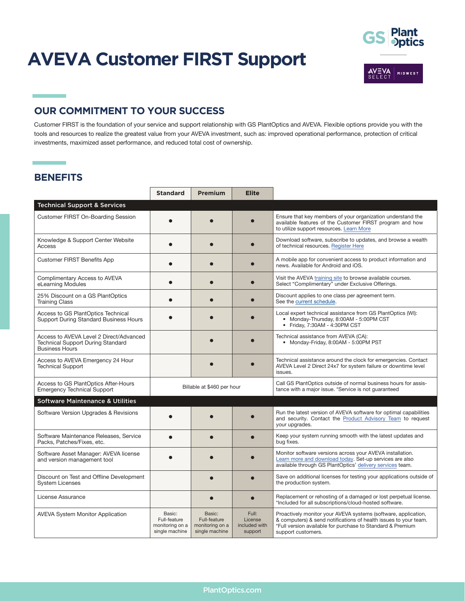# **AVEVA Customer FIRST Support**



## **OUR COMMITMENT TO YOUR SUCCESS**

Customer FIRST is the foundation of your service and support relationship with GS PlantOptics and AVEVA. Flexible options provide you with the tools and resources to realize the greatest value from your AVEVA investment, such as: improved operational performance, protection of critical investments, maximized asset performance, and reduced total cost of ownership.

#### **BENEFITS**

۰

|                                                                                                              | <b>Standard</b>                                             | Premium                                                     | <b>Elite</b>                                 |                                                                                                                                                                                                                        |
|--------------------------------------------------------------------------------------------------------------|-------------------------------------------------------------|-------------------------------------------------------------|----------------------------------------------|------------------------------------------------------------------------------------------------------------------------------------------------------------------------------------------------------------------------|
| <b>Technical Support &amp; Services</b>                                                                      |                                                             |                                                             |                                              |                                                                                                                                                                                                                        |
| Customer FIRST On-Boarding Session                                                                           |                                                             |                                                             |                                              | Ensure that key members of your organization understand the<br>available features of the Customer FIRST program and how<br>to utilize support resources. Learn More                                                    |
| Knowledge & Support Center Website<br>Access                                                                 |                                                             |                                                             |                                              | Download software, subscribe to updates, and browse a wealth<br>of technical resources. Register Here                                                                                                                  |
| <b>Customer FIRST Benefits App</b>                                                                           | ●                                                           |                                                             |                                              | A mobile app for convenient access to product information and<br>news. Available for Android and iOS.                                                                                                                  |
| Complimentary Access to AVEVA<br>eLearning Modules                                                           |                                                             |                                                             |                                              | Visit the AVEVA training site to browse available courses.<br>Select "Complimentary" under Exclusive Offerings.                                                                                                        |
| 25% Discount on a GS PlantOptics<br><b>Training Class</b>                                                    |                                                             |                                                             |                                              | Discount applies to one class per agreement term.<br>See the current schedule.                                                                                                                                         |
| Access to GS PlantOptics Technical<br>Support During Standard Business Hours                                 |                                                             |                                                             |                                              | Local expert technical assistance from GS PlantOptics (WI):<br>• Monday-Thursday, 8:00AM - 5:00PM CST<br>• Friday, 7:30AM - 4:30PM CST                                                                                 |
| Access to AVEVA Level 2 Direct/Advanced<br><b>Technical Support During Standard</b><br><b>Business Hours</b> |                                                             |                                                             |                                              | Technical assistance from AVEVA (CA):<br>• Monday-Friday, 8:00AM - 5:00PM PST                                                                                                                                          |
| Access to AVEVA Emergency 24 Hour<br><b>Technical Support</b>                                                |                                                             |                                                             |                                              | Technical assistance around the clock for emergencies. Contact<br>AVEVA Level 2 Direct 24x7 for system failure or downtime level<br>issues.                                                                            |
| Access to GS PlantOptics After-Hours<br><b>Emergency Technical Support</b>                                   | Billable at \$460 per hour                                  |                                                             |                                              | Call GS PlantOptics outside of normal business hours for assis-<br>tance with a major issue. *Service is not guaranteed                                                                                                |
| <b>Software Maintenance &amp; Utilities</b>                                                                  |                                                             |                                                             |                                              |                                                                                                                                                                                                                        |
| Software Version Upgrades & Revisions                                                                        |                                                             |                                                             |                                              | Run the latest version of AVEVA software for optimal capabilities<br>and security. Contact the Product Advisory Team to request<br>your upgrades.                                                                      |
| Software Maintenance Releases, Service<br>Packs, Patches/Fixes, etc.                                         |                                                             |                                                             |                                              | Keep your system running smooth with the latest updates and<br>bug fixes.                                                                                                                                              |
| Software Asset Manager: AVEVA license<br>and version management tool                                         |                                                             |                                                             |                                              | Monitor software versions across your AVEVA installation.<br>Learn more and download today. Set-up services are also<br>available through GS PlantOptics' delivery services team.                                      |
| Discount on Test and Offline Development<br><b>System Licenses</b>                                           |                                                             |                                                             |                                              | Save on additional licenses for testing your applications outside of<br>the production system.                                                                                                                         |
| License Assurance                                                                                            |                                                             |                                                             |                                              | Replacement or rehosting of a damaged or lost perpetual license.<br>*Included for all subscriptions/cloud-hosted software.                                                                                             |
| <b>AVEVA System Monitor Application</b>                                                                      | Basic:<br>Full-feature<br>monitoring on a<br>single machine | Basic:<br>Full-feature<br>monitoring on a<br>single machine | Full:<br>License<br>included with<br>support | Proactively monitor your AVEVA systems (software, application,<br>& computers) & send notifications of health issues to your team.<br>*Full version available for purchase to Standard & Premium<br>support customers. |